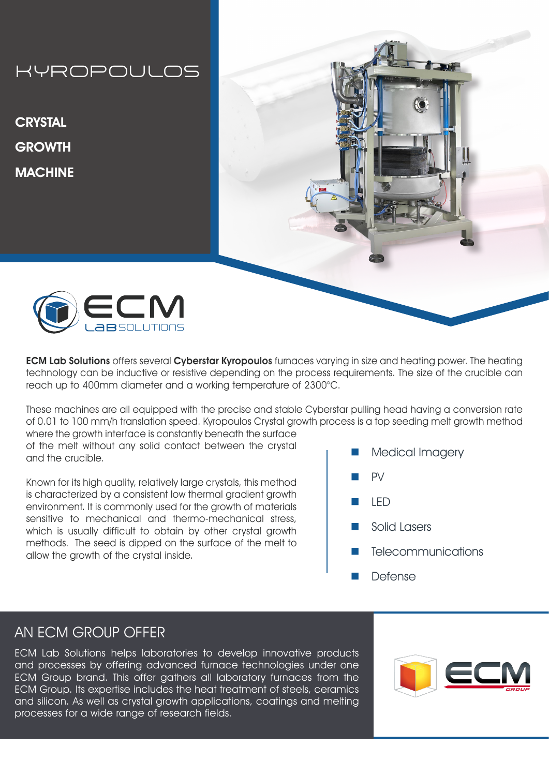# KYROPOULOS

**CRYSTAL GROWTH MACHINE** 





**ECM Lab Solutions** offers several **Cyberstar Kyropoulos** furnaces varying in size and heating power. The heating technology can be inductive or resistive depending on the process requirements. The size of the crucible can reach up to 400mm diameter and a working temperature of 2300°C.

These machines are all equipped with the precise and stable Cyberstar pulling head having a conversion rate of 0.01 to 100 mm/h translation speed. Kyropoulos Crystal growth process is a top seeding melt growth method where the growth interface is constantly beneath the surface

of the melt without any solid contact between the crystal and the crucible.

Known for its high quality, relatively large crystals, this method is characterized by a consistent low thermal gradient growth environment. It is commonly used for the growth of materials sensitive to mechanical and thermo-mechanical stress, which is usually difficult to obtain by other crystal growth methods. The seed is dipped on the surface of the melt to allow the growth of the crystal inside.

- Medical Imagery
- n PV
- n LED
- Solid Lasers
- **Telecommunications**
- **Defense**

### AN ECM GROUP OFFER

ECM Lab Solutions helps laboratories to develop innovative products and processes by offering advanced furnace technologies under one ECM Group brand. This offer gathers all laboratory furnaces from the ECM Group. Its expertise includes the heat treatment of steels, ceramics and silicon. As well as crystal growth applications, coatings and melting processes for a wide range of research fields.